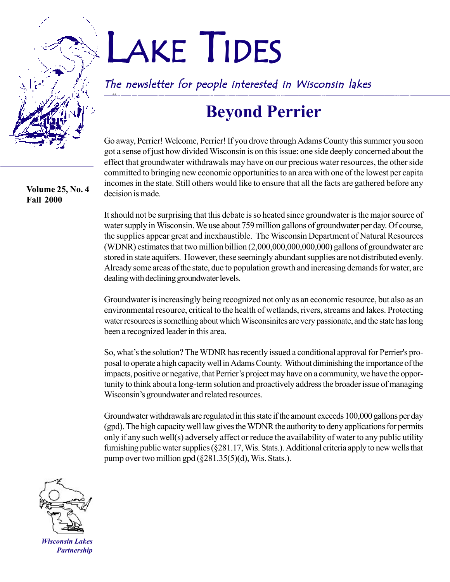**Volume 25, No. 4 Fall 2000**

# LAKE TIDES

The newsletter for people interested in Wisconsin lakes *ìOur lakes and rivers are valued by all of us in many different ways. They represent opportunities for*

# **Beyond Perrier**

Go away, Perrier! Welcome, Perrier! If you drove through Adams County this summer you soon got a sense of just how divided Wisconsin is on this issue: one side deeply concerned about the effect that groundwater withdrawals may have on our precious water resources, the other side committed to bringing new economic opportunities to an area with one of the lowest per capita incomes in the state. Still others would like to ensure that all the facts are gathered before any decision is made.

It should not be surprising that this debate is so heated since groundwater is the major source of water supply in Wisconsin. We use about 759 million gallons of groundwater per day. Of course, the supplies appear great and inexhaustible. The Wisconsin Department of Natural Resources (WDNR) estimates that two million billion (2,000,000,000,000,000) gallons of groundwater are stored in state aquifers. However, these seemingly abundant supplies are not distributed evenly. Already some areas of the state, due to population growth and increasing demands for water, are dealing with declining groundwater levels.

Groundwater is increasingly being recognized not only as an economic resource, but also as an environmental resource, critical to the health of wetlands, rivers, streams and lakes. Protecting water resources is something about which Wisconsinites are very passionate, and the state has long been a recognized leader in this area.

So, what's the solution? The WDNR has recently issued a conditional approval for Perrier's proposal to operate a high capacity well in Adams County. Without diminishing the importance of the impacts, positive or negative, that Perrier's project may have on a community, we have the opportunity to think about a long-term solution and proactively address the broader issue of managing Wisconsin's groundwater and related resources.

Groundwater withdrawals are regulated in this state if the amount exceeds 100,000 gallons per day (gpd). The high capacity well law gives the WDNR the authority to deny applications for permits only if any such well(s) adversely affect or reduce the availability of water to any public utility furnishing public water supplies (ß281.17, Wis. Stats.). Additional criteria apply to new wells that pump over two million gpd  $(\S 281.35(5)(d))$ , Wis. Stats.).



*Wisconsin Lakes Partnership*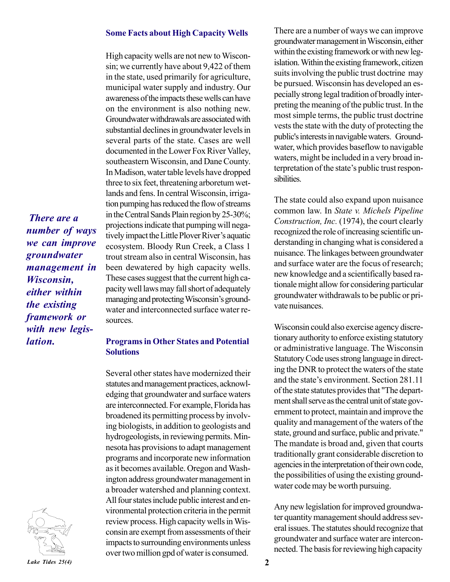#### **Some Facts about High Capacity Wells**

High capacity wells are not new to Wisconsin; we currently have about 9,422 of them in the state, used primarily for agriculture, municipal water supply and industry. Our awareness of the impacts these wells can have on the environment is also nothing new. Groundwater withdrawals are associated with substantial declines in groundwater levels in several parts of the state. Cases are well documented in the Lower Fox River Valley, southeastern Wisconsin, and Dane County. In Madison, water table levels have dropped three to six feet, threatening arboretum wetlands and fens. In central Wisconsin, irrigation pumping has reduced the flow of streams in the Central Sands Plain region by 25-30%; projections indicate that pumping will negatively impact the Little Plover River's aquatic ecosystem. Bloody Run Creek, a Class 1 trout stream also in central Wisconsin, has been dewatered by high capacity wells. These cases suggest that the current high capacity well laws may fall short of adequately managing and protecting Wisconsin's groundwater and interconnected surface water resources.

### *we can improve groundwater management in Wisconsin, either within the existing framework or with new legislation.*

*There are a number of ways*



#### **Programs in Other States and Potential Solutions**

Several other states have modernized their statutes and management practices, acknowledging that groundwater and surface waters are interconnected. For example, Florida has broadened its permitting process by involving biologists, in addition to geologists and hydrogeologists, in reviewing permits. Minnesota has provisions to adapt management programs and incorporate new information as it becomes available. Oregon and Washington address groundwater management in a broader watershed and planning context. All four states include public interest and environmental protection criteria in the permit review process. High capacity wells in Wisconsin are exempt from assessments of their impacts to surrounding environments unless over two million gpd of water is consumed.

There are a number of ways we can improve groundwater management in Wisconsin, either within the existing framework or with new legislation. Within the existing framework, citizen suits involving the public trust doctrine may be pursued. Wisconsin has developed an especially strong legal tradition of broadly interpreting the meaning of the public trust. In the most simple terms, the public trust doctrine vests the state with the duty of protecting the public's interests in navigable waters. Groundwater, which provides baseflow to navigable waters, might be included in a very broad interpretation of the state's public trust responsibilities.

The state could also expand upon nuisance common law. In *State v. Michels Pipeline Construction, Inc.* (1974), the court clearly recognized the role of increasing scientific understanding in changing what is considered a nuisance. The linkages between groundwater and surface water are the focus of research; new knowledge and a scientifically based rationale might allow for considering particular groundwater withdrawals to be public or private nuisances.

Wisconsin could also exercise agency discretionary authority to enforce existing statutory or administrative language. The Wisconsin Statutory Code uses strong language in directing the DNR to protect the waters of the state and the state's environment. Section 281.11 of the state statutes provides that "The department shall serve as the central unit of state government to protect, maintain and improve the quality and management of the waters of the state, ground and surface, public and private." The mandate is broad and, given that courts traditionally grant considerable discretion to agencies in the interpretation of their own code, the possibilities of using the existing groundwater code may be worth pursuing.

Any new legislation for improved groundwater quantity management should address several issues. The statutes should recognize that groundwater and surface water are interconnected. The basis for reviewing high capacity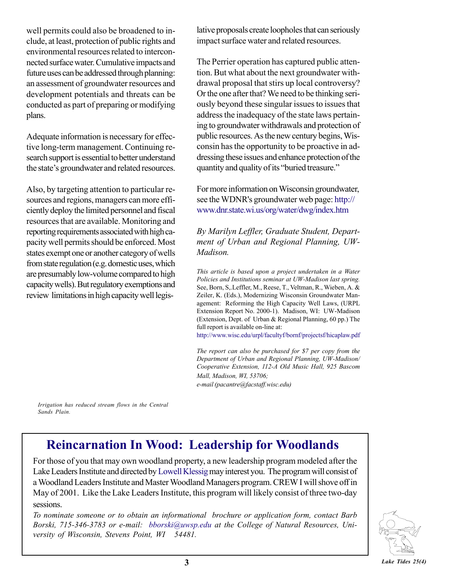well permits could also be broadened to include, at least, protection of public rights and environmental resources related to interconnected surface water. Cumulative impacts and future uses can be addressed through planning: an assessment of groundwater resources and development potentials and threats can be conducted as part of preparing or modifying plans.

Adequate information is necessary for effective long-term management. Continuing research support is essential to better understand the state's groundwater and related resources.

Also, by targeting attention to particular resources and regions, managers can more efficiently deploy the limited personnel and fiscal resources that are available. Monitoring and reporting requirements associated with high capacity well permits should be enforced. Most states exempt one or another category of wells from state regulation (e.g. domestic uses, which are presumably low-volume compared to high capacity wells). But regulatory exemptions and review limitations in high capacity well legislative proposals create loopholes that can seriously impact surface water and related resources.

The Perrier operation has captured public attention. But what about the next groundwater withdrawal proposal that stirs up local controversy? Or the one after that? We need to be thinking seriously beyond these singular issues to issues that address the inadequacy of the state laws pertaining to groundwater withdrawals and protection of public resources. As the new century begins, Wisconsin has the opportunity to be proactive in addressing these issues and enhance protection of the quantity and quality of its "buried treasure."

For more information on Wisconsin groundwater, see the WDNR's groundwater web page: http:// www.dnr.state.wi.us/org/water/dwg/index.htm

*By Marilyn Leffler, Graduate Student, Department of Urban and Regional Planning, UW-Madison.*

*This article is based upon a project undertaken in a Water Policies and Institutions seminar at UW-Madison last spring.* See, Born, S,.Leffler, M., Reese, T., Veltman, R., Wieben, A. & Zeiler, K. (Eds.), Modernizing Wisconsin Groundwater Management: Reforming the High Capacity Well Laws, (URPL Extension Report No. 2000-1). Madison, WI: UW-Madison (Extension, Dept. of Urban & Regional Planning, 60 pp.) The full report is available on-line at:

http://www.wisc.edu/urpl/facultyf/bornf/projectsf/hicaplaw.pdf

*The report can also be purchased for \$7 per copy from the Department of Urban and Regional Planning, UW-Madison/ Cooperative Extension, 112-A Old Music Hall, 925 Bascom Mall, Madison, WI, 53706; e-mail (pacantre@facstaff.wisc.edu)*

*Irrigation has reduced stream flows in the Central Sands Plain.*

### **Reincarnation In Wood: Leadership for Woodlands**

For those of you that may own woodland property, a new leadership program modeled after the Lake Leaders Institute and directed by Lowell Klessig may interest you. The program will consist of a Woodland Leaders Institute and Master Woodland Managers program. CREW I will shove off in May of 2001. Like the Lake Leaders Institute, this program will likely consist of three two-day sessions.

*To nominate someone or to obtain an informational brochure or application form, contact Barb Borski, 715-346-3783 or e-mail: bborski@uwsp.edu at the College of Natural Resources, University of Wisconsin, Stevens Point, WI 54481.*

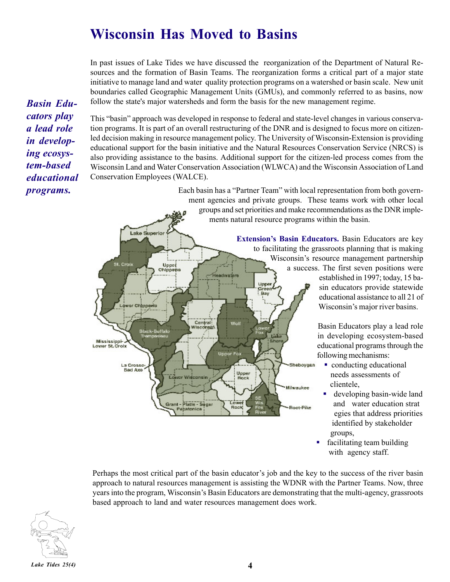### **Wisconsin Has Moved to Basins**

In past issues of Lake Tides we have discussed the reorganization of the Department of Natural Resources and the formation of Basin Teams. The reorganization forms a critical part of a major state initiative to manage land and water quality protection programs on a watershed or basin scale. New unit boundaries called Geographic Management Units (GMUs), and commonly referred to as basins, now follow the state's major watersheds and form the basis for the new management regime.

*Basin Educators play a lead role in developing ecosystem-based educational programs.*

This "basin" approach was developed in response to federal and state-level changes in various conservation programs. It is part of an overall restructuring of the DNR and is designed to focus more on citizenled decision making in resource management policy. The University of Wisconsin-Extension is providing educational support for the basin initiative and the Natural Resources Conservation Service (NRCS) is also providing assistance to the basins. Additional support for the citizen-led process comes from the Wisconsin Land and Water Conservation Association (WLWCA) and the Wisconsin Association of Land Conservation Employees (WALCE).

> Each basin has a "Partner Team" with local representation from both government agencies and private groups. These teams work with other local groups and set priorities and make recommendations as the DNR implements natural resource programs within the basin.



Basin Educators play a lead role in developing ecosystem-based educational programs through the following mechanisms:

- conducting educational needs assessments of clientele,
- developing basin-wide land and water education strat egies that address priorities identified by stakeholder groups,
- facilitating team building with agency staff.

Perhaps the most critical part of the basin educator's job and the key to the success of the river basin approach to natural resources management is assisting the WDNR with the Partner Teams. Now, three years into the program, Wisconsin's Basin Educators are demonstrating that the multi-agency, grassroots based approach to land and water resources management does work.

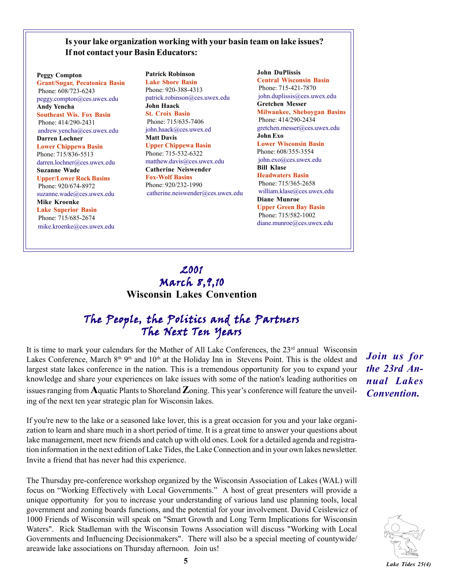#### **Is your lake organization working with your basin team on lake issues? If not contact your Basin Educators:**

**Peggy Compton Grant/Sugar, Pecatonica Basin** Phone: 608/723-6243 peggy.compton@ces.uwex.edu **Andy Yencha Southeast Wis. Fox Basin** Phone: 414/290-2431 andrew.yencha@ces.uwex.edu **Darren Lochner Lower Chippewa Basin** Phone: 715/836-5513 darren.lochner@ces.uwex.edu **Suzanne Wade Upper/Lower Rock Basins** Phone: 920/674-8972 suzanne.wade@ces.uwex.edu **Mike Kroenke Lake Superior Basin**

 Phone: 715/685-2674 mike.kroenke@ces.uwex.edu

**Patrick Robinson Lake Shore Basin** Phone: 920-388-4313 patrick.robinson@ces.uwex.edu **John Haack St. Croix Basin** Phone: 715/635-7406 john.haack@ces.uwex.ed **Matt Davis Upper Chippewa Basin** Phone: 715-532-6322 matthew.davis@ces.uwex.edu **Catherine Neiswender Fox-Wolf Basins** Phone: 920/232-1990 catherine.neiswender@ces.uwex.edu

**John DuPlissis Central Wisconsin Basin** Phone: 715-421-7870 john.duplissis@ces.uwex.edu **Gretchen Messer Milwaukee, Sheboygan Basins** Phone: 414/290-2434 gretchen.messer@ces.uwex.edu **John Exo Lower Wisconsin Basin** Phone: 608/355-3554 john.exo@ces.uwex.edu **Bill Klase Headwaters Basin** Phone: 715/365-2658 william.klase@ces.uwex.edu **Diane Munroe Upper Green Bay Basin** Phone: 715/582-1002 diane.munroe@ces.uwex.edu

### 2001 March 8,9,10 **Wisconsin Lakes Convention**

### The People, the Politics and the Partners The Next Ten Years

It is time to mark your calendars for the Mother of All Lake Conferences, the 23<sup>rd</sup> annual Wisconsin Lakes Conference, March 8<sup>th 9th</sup> and 10<sup>th</sup> at the Holiday Inn in Stevens Point. This is the oldest and largest state lakes conference in the nation. This is a tremendous opportunity for you to expand your knowledge and share your experiences on lake issues with some of the nation's leading authorities on issues ranging from **A**quatic Plants to Shoreland **Z**oning. This year's conference will feature the unveiling of the next ten year strategic plan for Wisconsin lakes.

*Join us for the 23rd Annual Lakes Convention.*

If you're new to the lake or a seasoned lake lover, this is a great occasion for you and your lake organization to learn and share much in a short period of time. It is a great time to answer your questions about lake management, meet new friends and catch up with old ones. Look for a detailed agenda and registration information in the next edition of Lake Tides, the Lake Connection and in your own lakes newsletter. Invite a friend that has never had this experience.

The Thursday pre-conference workshop organized by the Wisconsin Association of Lakes (WAL) will focus on "Working Effectively with Local Governments." A host of great presenters will provide a unique opportunity for you to increase your understanding of various land use planning tools, local government and zoning boards functions, and the potential for your involvement. David Ceislewicz of 1000 Friends of Wisconsin will speak on "Smart Growth and Long Term Implications for Wisconsin Waters". Rick Stadleman with the Wisconsin Towns Association will discuss "Working with Local Governments and Influencing Decisionmakers". There will also be a special meeting of countywide/ areawide lake associations on Thursday afternoon. Join us!

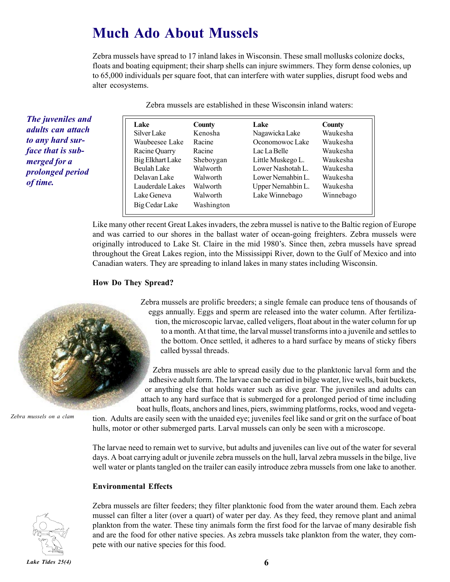### **Much Ado About Mussels**

Zebra mussels have spread to 17 inland lakes in Wisconsin. These small mollusks colonize docks, floats and boating equipment; their sharp shells can injure swimmers. They form dense colonies, up to 65,000 individuals per square foot, that can interfere with water supplies, disrupt food webs and alter ecosystems.

Zebra mussels are established in these Wisconsin inland waters:

| Lake                    | County     | Lake              | County    |
|-------------------------|------------|-------------------|-----------|
| Silver Lake             | Kenosha    | Nagawicka Lake    | Waukesha  |
| Waubeesee Lake          | Racine     | Oconomowoc Lake   | Waukesha  |
| Racine Quarry           | Racine     | Lac La Belle      | Waukesha  |
| <b>Big Elkhart Lake</b> | Sheboygan  | Little Muskego L. | Waukesha  |
| Beulah Lake             | Walworth   | Lower Nashotah L. | Waukesha  |
| Delavan Lake            | Walworth   | Lower Nemahbin L. | Waukesha  |
| Lauderdale Lakes        | Walworth   | Upper Nemahbin L. | Waukesha  |
| Lake Geneva             | Walworth   | Lake Winnebago    | Winnebago |
| Big Cedar Lake          | Washington |                   |           |

Like many other recent Great Lakes invaders, the zebra mussel is native to the Baltic region of Europe and was carried to our shores in the ballast water of ocean-going freighters. Zebra mussels were originally introduced to Lake St. Claire in the mid 1980's. Since then, zebra mussels have spread throughout the Great Lakes region, into the Mississippi River, down to the Gulf of Mexico and into Canadian waters. They are spreading to inland lakes in many states including Wisconsin.

#### **How Do They Spread?**

Zebra mussels are prolific breeders; a single female can produce tens of thousands of eggs annually. Eggs and sperm are released into the water column. After fertilization, the microscopic larvae, called veligers, float about in the water column for up to a month. At that time, the larval mussel transforms into a juvenile and settles to the bottom. Once settled, it adheres to a hard surface by means of sticky fibers called byssal threads.

Zebra mussels are able to spread easily due to the planktonic larval form and the adhesive adult form. The larvae can be carried in bilge water, live wells, bait buckets, or anything else that holds water such as dive gear. The juveniles and adults can attach to any hard surface that is submerged for a prolonged period of time including boat hulls, floats, anchors and lines, piers, swimming platforms, rocks, wood and vegeta-

**Zebra** *Zebra mussels on a clam*

*The juveniles and adults can attach to any hard surface that is submerged for a prolonged period*

*of time.*

hulls, motor or other submerged parts. Larval mussels can only be seen with a microscope.

The larvae need to remain wet to survive, but adults and juveniles can live out of the water for several days. A boat carrying adult or juvenile zebra mussels on the hull, larval zebra mussels in the bilge, live well water or plants tangled on the trailer can easily introduce zebra mussels from one lake to another.

tion. Adults are easily seen with the unaided eye; juveniles feel like sand or grit on the surface of boat

#### **Environmental Effects**



Zebra mussels are filter feeders; they filter planktonic food from the water around them. Each zebra mussel can filter a liter (over a quart) of water per day. As they feed, they remove plant and animal plankton from the water. These tiny animals form the first food for the larvae of many desirable fish and are the food for other native species. As zebra mussels take plankton from the water, they compete with our native species for this food.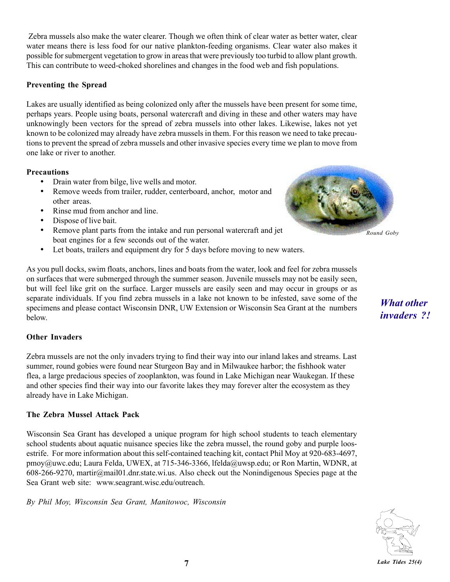Zebra mussels also make the water clearer. Though we often think of clear water as better water, clear water means there is less food for our native plankton-feeding organisms. Clear water also makes it possible for submergent vegetation to grow in areas that were previously too turbid to allow plant growth. This can contribute to weed-choked shorelines and changes in the food web and fish populations.

#### **Preventing the Spread**

Lakes are usually identified as being colonized only after the mussels have been present for some time, perhaps years. People using boats, personal watercraft and diving in these and other waters may have unknowingly been vectors for the spread of zebra mussels into other lakes. Likewise, lakes not yet known to be colonized may already have zebra mussels in them. For this reason we need to take precautions to prevent the spread of zebra mussels and other invasive species every time we plan to move from one lake or river to another.

#### **Precautions**

- Drain water from bilge, live wells and motor.
- Remove weeds from trailer, rudder, centerboard, anchor, motor and other areas.
- Rinse mud from anchor and line.
- Dispose of live bait.
- Remove plant parts from the intake and run personal watercraft and jet boat engines for a few seconds out of the water.
- Let boats, trailers and equipment dry for 5 days before moving to new waters.



As you pull docks, swim floats, anchors, lines and boats from the water, look and feel for zebra mussels on surfaces that were submerged through the summer season. Juvenile mussels may not be easily seen, but will feel like grit on the surface. Larger mussels are easily seen and may occur in groups or as separate individuals. If you find zebra mussels in a lake not known to be infested, save some of the specimens and please contact Wisconsin DNR, UW Extension or Wisconsin Sea Grant at the numbers below.

#### **Other Invaders**

Zebra mussels are not the only invaders trying to find their way into our inland lakes and streams. Last summer, round gobies were found near Sturgeon Bay and in Milwaukee harbor; the fishhook water flea, a large predacious species of zooplankton, was found in Lake Michigan near Waukegan. If these and other species find their way into our favorite lakes they may forever alter the ecosystem as they already have in Lake Michigan.

#### **The Zebra Mussel Attack Pack**

Wisconsin Sea Grant has developed a unique program for high school students to teach elementary school students about aquatic nuisance species like the zebra mussel, the round goby and purple loosestrife. For more information about this self-contained teaching kit, contact Phil Moy at 920-683-4697, pmoy@uwc.edu; Laura Felda, UWEX, at 715-346-3366, lfelda@uwsp.edu; or Ron Martin, WDNR, at 608-266-9270, martir@mail01.dnr.state.wi.us. Also check out the Nonindigenous Species page at the Sea Grant web site: www.seagrant.wisc.edu/outreach.

*By Phil Moy, Wisconsin Sea Grant, Manitowoc, Wisconsin*

*What other invaders ?!*

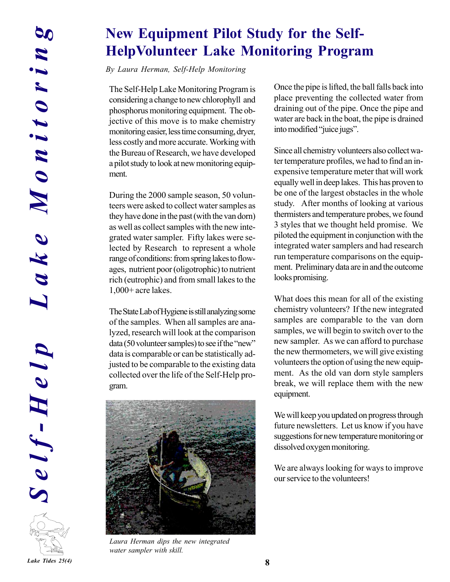### **New Equipment Pilot Study for the Self-HelpVolunteer Lake Monitoring Program**

*By Laura Herman, Self-Help Monitoring*

The Self-Help Lake Monitoring Program is considering a change to new chlorophyll and phosphorus monitoring equipment. The objective of this move is to make chemistry monitoring easier, less time consuming, dryer, less costly and more accurate. Working with the Bureau of Research, we have developed a pilot study to look at new monitoring equipment.

During the 2000 sample season, 50 volunteers were asked to collect water samples as they have done in the past (with the van dorn) as well as collect samples with the new integrated water sampler. Fifty lakes were selected by Research to represent a whole range of conditions: from spring lakes to flowages, nutrient poor (oligotrophic) to nutrient rich (eutrophic) and from small lakes to the 1,000+ acre lakes.

The State Lab of Hygiene is still analyzing some of the samples. When all samples are analyzed, research will look at the comparison  $data (50$  volunteer samples) to see if the "new" data is comparable or can be statistically adjusted to be comparable to the existing data collected over the life of the Self-Help program.



*Laura Herman dips the new integrated water sampler with skill.*

Once the pipe is lifted, the ball falls back into place preventing the collected water from draining out of the pipe. Once the pipe and water are back in the boat, the pipe is drained into modified "juice jugs".

Since all chemistry volunteers also collect water temperature profiles, we had to find an inexpensive temperature meter that will work equally well in deep lakes. This has proven to be one of the largest obstacles in the whole study. After months of looking at various thermisters and temperature probes, we found 3 styles that we thought held promise. We piloted the equipment in conjunction with the integrated water samplers and had research run temperature comparisons on the equipment. Preliminary data are in and the outcome looks promising.

What does this mean for all of the existing chemistry volunteers? If the new integrated samples are comparable to the van dorn samples, we will begin to switch over to the new sampler. As we can afford to purchase the new thermometers, we will give existing volunteers the option of using the new equipment. As the old van dorn style samplers break, we will replace them with the new equipment.

We will keep you updated on progress through future newsletters. Let us know if you have suggestions for new temperature monitoring or dissolved oxygen monitoring.

We are always looking for ways to improve our service to the volunteers!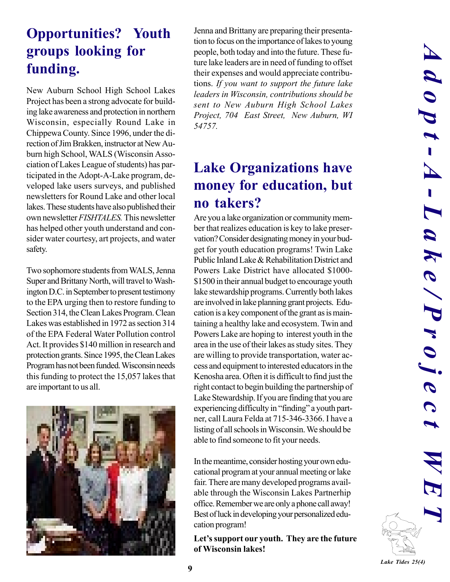# **Opportunities? Youth groups looking for funding.**

New Auburn School High School Lakes Project has been a strong advocate for building lake awareness and protection in northern Wisconsin, especially Round Lake in Chippewa County. Since 1996, under the direction of Jim Brakken, instructor at New Auburn high School, WALS (Wisconsin Association of Lakes League of students) has participated in the Adopt-A-Lake program, developed lake users surveys, and published newsletters for Round Lake and other local lakes. These students have also published their own newsletter *FISHTALES.* This newsletter has helped other youth understand and consider water courtesy, art projects, and water safety.

Two sophomore students from WALS, Jenna Super and Brittany North, will travel to Washington D.C. in September to present testimony to the EPA urging then to restore funding to Section 314, the Clean Lakes Program. Clean Lakes was established in 1972 as section 314 of the EPA Federal Water Pollution control Act. It provides \$140 million in research and protection grants. Since 1995, the Clean Lakes Program has not been funded. Wisconsin needs this funding to protect the 15,057 lakes that are important to us all.



Jenna and Brittany are preparing their presentation to focus on the importance of lakes to young people, both today and into the future. These future lake leaders are in need of funding to offset their expenses and would appreciate contributions. *If you want to support the future lake leaders in Wisconsin, contributions should be sent to New Auburn High School Lakes Project, 704 East Street, New Auburn, WI 54757.*

# **Lake Organizations have money for education, but no takers?**

Are you a lake organization or community member that realizes education is key to lake preservation? Consider designating money in your budget for youth education programs! Twin Lake Public Inland Lake & Rehabilitation District and Powers Lake District have allocated \$1000- \$1500 in their annual budget to encourage youth lake stewardship programs. Currently both lakes are involved in lake planning grant projects. Education is a key component of the grant as is maintaining a healthy lake and ecosystem. Twin and Powers Lake are hoping to interest youth in the area in the use of their lakes as study sites. They are willing to provide transportation, water access and equipment to interested educators in the Kenosha area. Often it is difficult to find just the right contact to begin building the partnership of Lake Stewardship. If you are finding that you are experiencing difficulty in "finding" a youth partner, call Laura Felda at 715-346-3366. I have a listing of all schools in Wisconsin. We should be able to find someone to fit your needs.

In the meantime, consider hosting your own educational program at your annual meeting or lake fair. There are many developed programs available through the Wisconsin Lakes Partnerhip office. Remember we are only a phone call away! Best of luck in developing your personalized education program!

Let's support our youth. They are the future **of Wisconsin lakes!**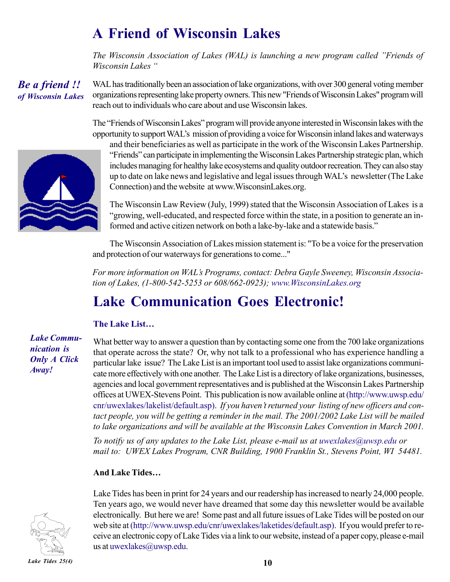# **A Friend of Wisconsin Lakes**

*The Wisconsin Association of Lakes (WAL) is launching a new program called "Friends of Wisconsin Lakes* "

**Be** *Be a friend !! of Wisconsin Lakes* WAL has traditionally been an association of lake organizations, with over 300 general voting member organizations representing lake property owners. This new "Friends of Wisconsin Lakes" program will reach out to individuals who care about and use Wisconsin lakes.

The "Friends of Wisconsin Lakes" program will provide anyone interested in Wisconsin lakes with the opportunity to support WALís mission of providing a voice for Wisconsin inland lakes and waterways



and their beneficiaries as well as participate in the work of the Wisconsin Lakes Partnership. ìFriendsî can participate in implementing the Wisconsin Lakes Partnership strategic plan, which includes managing for healthy lake ecosystems and quality outdoor recreation. They can also stay up to date on lake news and legislative and legal issues through WALís newsletter (The Lake Connection) and the website at www.WisconsinLakes.org.

The Wisconsin Law Review (July, 1999) stated that the Wisconsin Association of Lakes is a ìgrowing, well-educated, and respected force within the state, in a position to generate an informed and active citizen network on both a lake-by-lake and a statewide basis."

The Wisconsin Association of Lakes mission statement is: "To be a voice for the preservation and protection of our waterways for generations to come..."

*For more information on WALís Programs, contact: Debra Gayle Sweeney, Wisconsin Association of Lakes, (1-800-542-5253 or 608/662-0923); www.WisconsinLakes.org* 

### **Lake Communication Goes Electronic!**

### **The Lake List...**

#### *Lake Communication is Only A Click Away!*

What better way to answer a question than by contacting some one from the 700 lake organizations that operate across the state? Or, why not talk to a professional who has experience handling a particular lake issue? The Lake List is an important tool used to assist lake organizations communicate more effectively with one another. The Lake List is a directory of lake organizations, businesses, agencies and local government representatives and is published at the Wisconsin Lakes Partnership offices at UWEX-Stevens Point. This publication is now available online at (http://www.uwsp.edu/ cnr/uwexlakes/lakelist/default.asp). *If you havenít returned your listing of new officers and contact people, you will be getting a reminder in the mail. The 2001/2002 Lake List will be mailed to lake organizations and will be available at the Wisconsin Lakes Convention in March 2001.*

*To notify us of any updates to the Lake List, please e-mail us at uwexlakes@uwsp.edu or mail to: UWEX Lakes Program, CNR Building, 1900 Franklin St., Stevens Point, WI 54481.*

### **And Lake Tides...**



Lake Tides has been in print for 24 years and our readership has increased to nearly 24,000 people. Ten years ago, we would never have dreamed that some day this newsletter would be available electronically. But here we are! Some past and all future issues of Lake Tides will be posted on our web site at (http://www.uwsp.edu/cnr/uwexlakes/laketides/default.asp). If you would prefer to receive an electronic copy of Lake Tides via a link to our website, instead of a paper copy, please e-mail us at uwexlakes@uwsp.edu.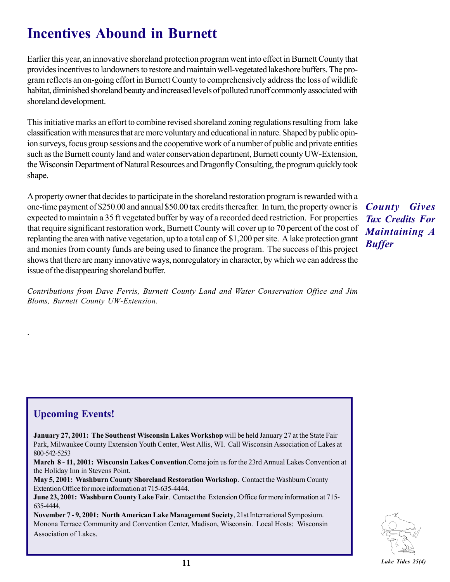# **Incentives Abound in Burnett**

Earlier this year, an innovative shoreland protection program went into effect in Burnett County that provides incentives to landowners to restore and maintain well-vegetated lakeshore buffers. The program reflects an on-going effort in Burnett County to comprehensively address the loss of wildlife habitat, diminished shoreland beauty and increased levels of polluted runoff commonly associated with shoreland development.

This initiative marks an effort to combine revised shoreland zoning regulations resulting from lake classification with measures that are more voluntary and educational in nature. Shaped by public opinion surveys, focus group sessions and the cooperative work of a number of public and private entities such as the Burnett county land and water conservation department, Burnett county UW-Extension, the Wisconsin Department of Natural Resources and Dragonfly Consulting, the program quickly took shape.

A property owner that decides to participate in the shoreland restoration program is rewarded with a one-time payment of \$250.00 and annual \$50.00 tax credits thereafter. In turn, the property owner is expected to maintain a 35 ft vegetated buffer by way of a recorded deed restriction. For properties that require significant restoration work, Burnett County will cover up to 70 percent of the cost of replanting the area with native vegetation, up to a total cap of \$1,200 per site. A lake protection grant and monies from county funds are being used to finance the program. The success of this project shows that there are many innovative ways, nonregulatory in character, by which we can address the issue of the disappearing shoreland buffer.

*Contributions from Dave Ferris, Burnett County Land and Water Conservation Office and Jim Bloms, Burnett County UW-Extension.*

### *County Gives Tax Credits For Maintaining A Buffer*

### **Upcoming Events!**

.

**January 27, 2001: The Southeast Wisconsin Lakes Workshop** will be held January 27 at the State Fair Park, Milwaukee County Extension Youth Center, West Allis, WI. Call Wisconsin Association of Lakes at 800-542-5253

**March 8 - 11, 2001: Wisconsin Lakes Convention**.Come join us for the 23rd Annual Lakes Convention at the Holiday Inn in Stevens Point.

**May 5, 2001: Washburn County Shoreland Restoration Workshop**. Contact the Washburn County Extention Office for more information at 715-635-4444.

**June 23, 2001: Washburn County Lake Fair**. Contact the Extension Office for more information at 715- 635-4444.

**November 7 - 9, 2001: North American Lake Management Society**, 21st International Symposium. Monona Terrace Community and Convention Center, Madison, Wisconsin. Local Hosts: Wisconsin Association of Lakes.